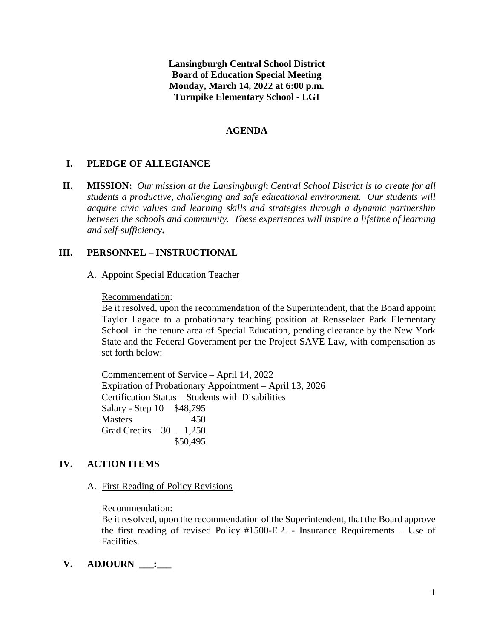**Lansingburgh Central School District Board of Education Special Meeting Monday, March 14, 2022 at 6:00 p.m. Turnpike Elementary School - LGI**

## **AGENDA**

# **I. PLEDGE OF ALLEGIANCE**

**II. MISSION:** *Our mission at the Lansingburgh Central School District is to create for all students a productive, challenging and safe educational environment. Our students will acquire civic values and learning skills and strategies through a dynamic partnership between the schools and community. These experiences will inspire a lifetime of learning and self-sufficiency***.**

## **III. PERSONNEL – INSTRUCTIONAL**

A. Appoint Special Education Teacher

### Recommendation:

Be it resolved, upon the recommendation of the Superintendent, that the Board appoint Taylor Lagace to a probationary teaching position at Rensselaer Park Elementary School in the tenure area of Special Education, pending clearance by the New York State and the Federal Government per the Project SAVE Law, with compensation as set forth below:

Commencement of Service – April 14, 2022 Expiration of Probationary Appointment – April 13, 2026 Certification Status – Students with Disabilities Salary - Step 10 \$48,795 Masters 450 Grad Credits  $-30$  1,250 \$50,495

### **IV. ACTION ITEMS**

A. First Reading of Policy Revisions

### Recommendation:

Be it resolved, upon the recommendation of the Superintendent, that the Board approve the first reading of revised Policy #1500-E.2. - Insurance Requirements – Use of Facilities.

**V. ADJOURN \_\_\_:\_\_\_**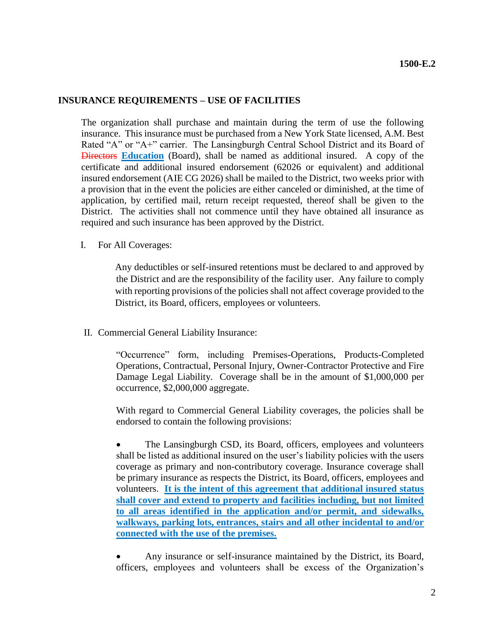### **INSURANCE REQUIREMENTS – USE OF FACILITIES**

The organization shall purchase and maintain during the term of use the following insurance. This insurance must be purchased from a New York State licensed, A.M. Best Rated "A" or "A+" carrier. The Lansingburgh Central School District and its Board of Directors **Education** (Board), shall be named as additional insured. A copy of the certificate and additional insured endorsement (62026 or equivalent) and additional insured endorsement (AIE CG 2026) shall be mailed to the District, two weeks prior with a provision that in the event the policies are either canceled or diminished, at the time of application, by certified mail, return receipt requested, thereof shall be given to the District. The activities shall not commence until they have obtained all insurance as required and such insurance has been approved by the District.

I. For All Coverages:

Any deductibles or self-insured retentions must be declared to and approved by the District and are the responsibility of the facility user. Any failure to comply with reporting provisions of the policies shall not affect coverage provided to the District, its Board, officers, employees or volunteers.

II. Commercial General Liability Insurance:

"Occurrence" form, including Premises-Operations, Products-Completed Operations, Contractual, Personal Injury, Owner-Contractor Protective and Fire Damage Legal Liability. Coverage shall be in the amount of \$1,000,000 per occurrence, \$2,000,000 aggregate.

With regard to Commercial General Liability coverages, the policies shall be endorsed to contain the following provisions:

 The Lansingburgh CSD, its Board, officers, employees and volunteers shall be listed as additional insured on the user's liability policies with the users coverage as primary and non-contributory coverage. Insurance coverage shall be primary insurance as respects the District, its Board, officers, employees and volunteers. **It is the intent of this agreement that additional insured status shall cover and extend to property and facilities including, but not limited to all areas identified in the application and/or permit, and sidewalks, walkways, parking lots, entrances, stairs and all other incidental to and/or connected with the use of the premises.**

 Any insurance or self-insurance maintained by the District, its Board, officers, employees and volunteers shall be excess of the Organization's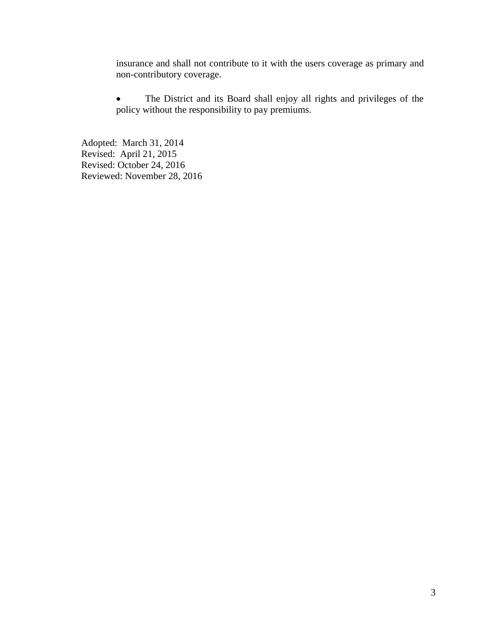insurance and shall not contribute to it with the users coverage as primary and non-contributory coverage.

 The District and its Board shall enjoy all rights and privileges of the policy without the responsibility to pay premiums.

Adopted: March 31, 2014 Revised: April 21, 2015 Revised: October 24, 2016 Reviewed: November 28, 2016